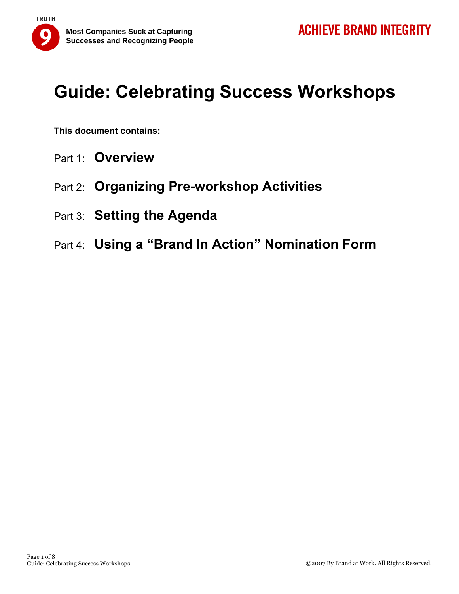

**This document contains:** 

- Part 1: **Overview**
- Part 2: **Organizing Pre-workshop Activities**
- Part 3: **Setting the Agenda**
- Part 4: **Using a "Brand In Action" Nomination Form**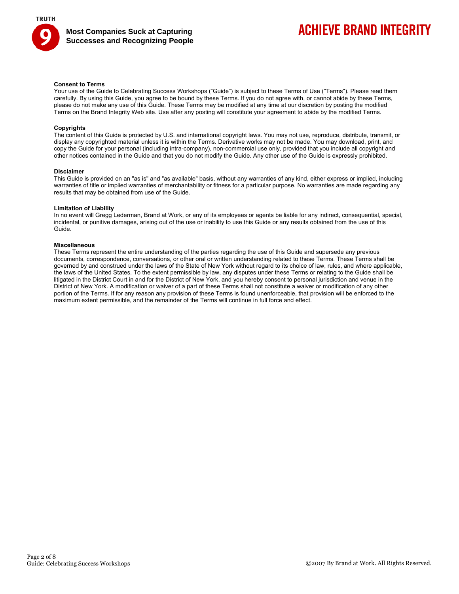

## **ACHIEVE BRAND INTEGRITY**

### **Consent to Terms**

Your use of the Guide to Celebrating Success Workshops ("Guide") is subject to these Terms of Use ("Terms"). Please read them carefully. By using this Guide, you agree to be bound by these Terms. If you do not agree with, or cannot abide by these Terms, please do not make any use of this Guide. These Terms may be modified at any time at our discretion by posting the modified Terms on the Brand Integrity Web site. Use after any posting will constitute your agreement to abide by the modified Terms.

### **Copyrights**

The content of this Guide is protected by U.S. and international copyright laws. You may not use, reproduce, distribute, transmit, or display any copyrighted material unless it is within the Terms. Derivative works may not be made. You may download, print, and copy the Guide for your personal (including intra-company), non-commercial use only, provided that you include all copyright and other notices contained in the Guide and that you do not modify the Guide. Any other use of the Guide is expressly prohibited.

#### **Disclaimer**

This Guide is provided on an "as is" and "as available" basis, without any warranties of any kind, either express or implied, including warranties of title or implied warranties of merchantability or fitness for a particular purpose. No warranties are made regarding any results that may be obtained from use of the Guide.

### **Limitation of Liability**

In no event will Gregg Lederman, Brand at Work, or any of its employees or agents be liable for any indirect, consequential, special, incidental, or punitive damages, arising out of the use or inability to use this Guide or any results obtained from the use of this Guide.

### **Miscellaneous**

These Terms represent the entire understanding of the parties regarding the use of this Guide and supersede any previous documents, correspondence, conversations, or other oral or written understanding related to these Terms. These Terms shall be governed by and construed under the laws of the State of New York without regard to its choice of law, rules, and where applicable, the laws of the United States. To the extent permissible by law, any disputes under these Terms or relating to the Guide shall be litigated in the District Court in and for the District of New York, and you hereby consent to personal jurisdiction and venue in the District of New York. A modification or waiver of a part of these Terms shall not constitute a waiver or modification of any other portion of the Terms. If for any reason any provision of these Terms is found unenforceable, that provision will be enforced to the maximum extent permissible, and the remainder of the Terms will continue in full force and effect.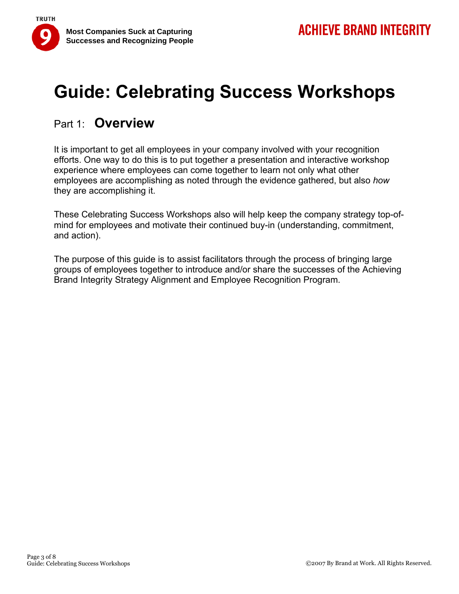

### Part 1: **Overview**

It is important to get all employees in your company involved with your recognition efforts. One way to do this is to put together a presentation and interactive workshop experience where employees can come together to learn not only what other employees are accomplishing as noted through the evidence gathered, but also *how* they are accomplishing it.

These Celebrating Success Workshops also will help keep the company strategy top-ofmind for employees and motivate their continued buy-in (understanding, commitment, and action).

The purpose of this guide is to assist facilitators through the process of bringing large groups of employees together to introduce and/or share the successes of the Achieving Brand Integrity Strategy Alignment and Employee Recognition Program.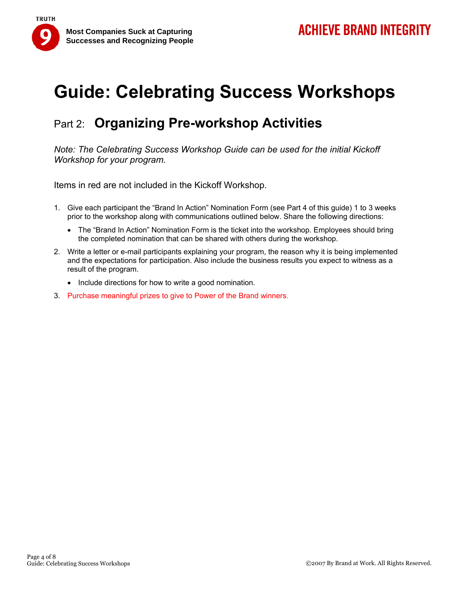



## Part 2: **Organizing Pre-workshop Activities**

*Note: The Celebrating Success Workshop Guide can be used for the initial Kickoff Workshop for your program.*

Items in red are not included in the Kickoff Workshop.

- 1. Give each participant the "Brand In Action" Nomination Form (see Part 4 of this guide) 1 to 3 weeks prior to the workshop along with communications outlined below. Share the following directions:
	- The "Brand In Action" Nomination Form is the ticket into the workshop. Employees should bring the completed nomination that can be shared with others during the workshop.
- 2. Write a letter or e-mail participants explaining your program, the reason why it is being implemented and the expectations for participation. Also include the business results you expect to witness as a result of the program.
	- Include directions for how to write a good nomination.
- 3. Purchase meaningful prizes to give to Power of the Brand winners.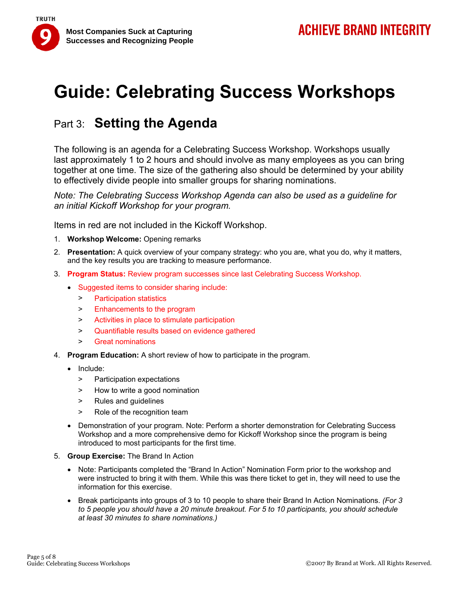

## Part 3: **Setting the Agenda**

The following is an agenda for a Celebrating Success Workshop. Workshops usually last approximately 1 to 2 hours and should involve as many employees as you can bring together at one time. The size of the gathering also should be determined by your ability to effectively divide people into smaller groups for sharing nominations.

*Note: The Celebrating Success Workshop Agenda can also be used as a guideline for an initial Kickoff Workshop for your program.* 

Items in red are not included in the Kickoff Workshop.

- 1. **Workshop Welcome:** Opening remarks
- 2. **Presentation:** A quick overview of your company strategy: who you are, what you do, why it matters, and the key results you are tracking to measure performance.
- 3. **Program Status:** Review program successes since last Celebrating Success Workshop.
	- Suggested items to consider sharing include:
		- > Participation statistics
		- > Enhancements to the program
		- > Activities in place to stimulate participation
		- > Quantifiable results based on evidence gathered
		- > Great nominations
- 4. **Program Education:** A short review of how to participate in the program.
	- Include:

**TRUTH** 

- > Participation expectations
- > How to write a good nomination
- > Rules and guidelines
- > Role of the recognition team
- Demonstration of your program. Note: Perform a shorter demonstration for Celebrating Success Workshop and a more comprehensive demo for Kickoff Workshop since the program is being introduced to most participants for the first time.
- 5. **Group Exercise:** The Brand In Action
	- Note: Participants completed the "Brand In Action" Nomination Form prior to the workshop and were instructed to bring it with them. While this was there ticket to get in, they will need to use the information for this exercise.
	- Break participants into groups of 3 to 10 people to share their Brand In Action Nominations. *(For 3 to 5 people you should have a 20 minute breakout. For 5 to 10 participants, you should schedule at least 30 minutes to share nominations.)*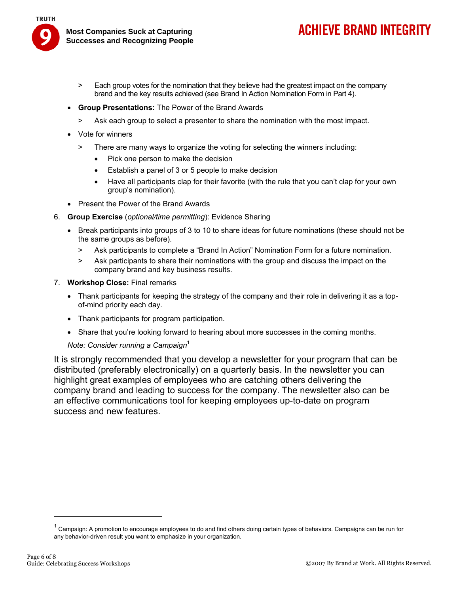

- **ACHIEVE BRAND INTEGRITY**
- > Each group votes for the nomination that they believe had the greatest impact on the company brand and the key results achieved (see Brand In Action Nomination Form in Part 4).
- **Group Presentations:** The Power of the Brand Awards
	- > Ask each group to select a presenter to share the nomination with the most impact.
- Vote for winners
	- > There are many ways to organize the voting for selecting the winners including:
		- Pick one person to make the decision
		- Establish a panel of 3 or 5 people to make decision
		- Have all participants clap for their favorite (with the rule that you can't clap for your own group's nomination).
- Present the Power of the Brand Awards
- 6. **Group Exercise** (*optional/time permitting*): Evidence Sharing
	- Break participants into groups of 3 to 10 to share ideas for future nominations (these should not be the same groups as before).
		- > Ask participants to complete a "Brand In Action" Nomination Form for a future nomination.
		- > Ask participants to share their nominations with the group and discuss the impact on the company brand and key business results.
- 7. **Workshop Close:** Final remarks
	- Thank participants for keeping the strategy of the company and their role in delivering it as a topof-mind priority each day.
	- Thank participants for program participation.
	- Share that you're looking forward to hearing about more successes in the coming months.

*Note: Consider running a Campaign*<sup>1</sup>

It is strongly recommended that you develop a newsletter for your program that can be distributed (preferably electronically) on a quarterly basis. In the newsletter you can highlight great examples of employees who are catching others delivering the company brand and leading to success for the company. The newsletter also can be an effective communications tool for keeping employees up-to-date on program success and new features.

<sup>&</sup>lt;sup>1</sup> Campaign: A promotion to encourage employees to do and find others doing certain types of behaviors. Campaigns can be run for any behavior-driven result you want to emphasize in your organization.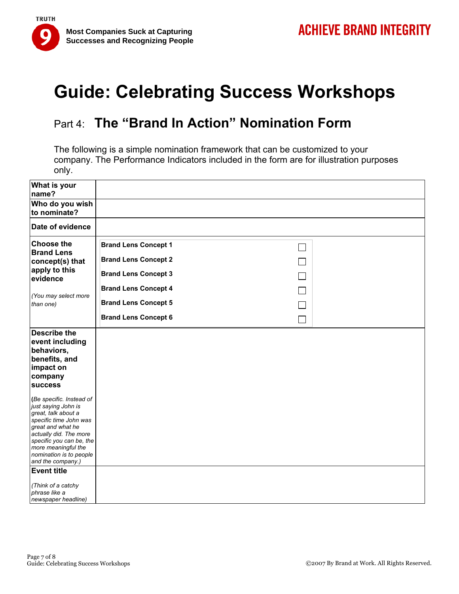

## Part 4: **The "Brand In Action" Nomination Form**

The following is a simple nomination framework that can be customized to your company. The Performance Indicators included in the form are for illustration purposes only.

| What is your<br>name?                                                                                                                                                                                                                                                                                                                  |                             |  |
|----------------------------------------------------------------------------------------------------------------------------------------------------------------------------------------------------------------------------------------------------------------------------------------------------------------------------------------|-----------------------------|--|
| Who do you wish<br>to nominate?                                                                                                                                                                                                                                                                                                        |                             |  |
| Date of evidence                                                                                                                                                                                                                                                                                                                       |                             |  |
| <b>Choose the</b><br><b>Brand Lens</b><br>concept(s) that<br>apply to this<br>evidence                                                                                                                                                                                                                                                 | <b>Brand Lens Concept 1</b> |  |
|                                                                                                                                                                                                                                                                                                                                        | <b>Brand Lens Concept 2</b> |  |
|                                                                                                                                                                                                                                                                                                                                        | <b>Brand Lens Concept 3</b> |  |
| (You may select more<br>than one)                                                                                                                                                                                                                                                                                                      | <b>Brand Lens Concept 4</b> |  |
|                                                                                                                                                                                                                                                                                                                                        | <b>Brand Lens Concept 5</b> |  |
|                                                                                                                                                                                                                                                                                                                                        | <b>Brand Lens Concept 6</b> |  |
| <b>Describe the</b><br>event including<br>behaviors,<br>benefits, and<br>impact on<br>company<br><b>success</b>                                                                                                                                                                                                                        |                             |  |
| (Be specific. Instead of<br>just saying John is<br>great, talk about a<br>specific time John was<br>great and what he<br>actually did. The more<br>specific you can be, the<br>more meaningful the<br>nomination is to people<br>and the company.)<br><b>Event title</b><br>(Think of a catchy<br>phrase like a<br>newspaper headline) |                             |  |